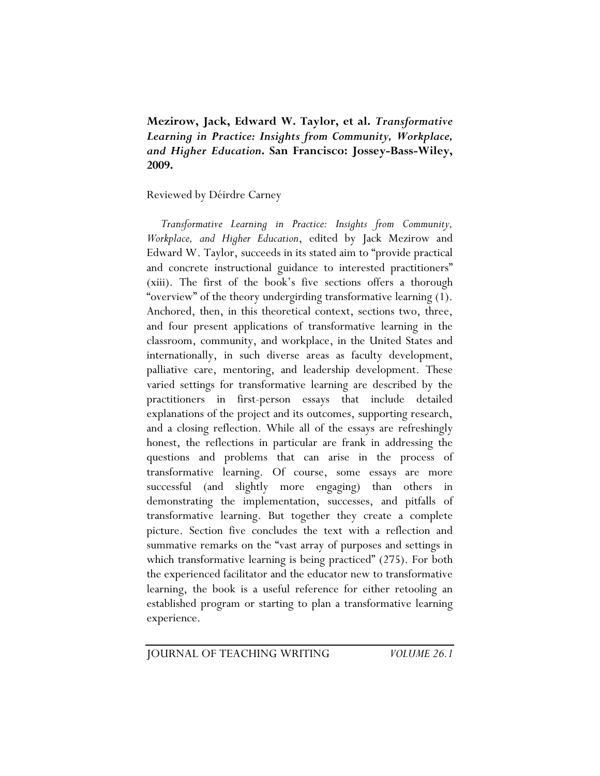**Mezirow, Jack, Edward W. Taylor, et al.** *Transformative Learning in Practice: Insights from Community, Workplace, and Higher Education***. San Francisco: Jossey-Bass-Wiley, 2009.** 

Reviewed by Déirdre Carney

*Transformative Learning in Practice: Insights from Community, Workplace, and Higher Education*, edited by Jack Mezirow and Edward W. Taylor, succeeds in its stated aim to "provide practical and concrete instructional guidance to interested practitioners" (xiii). The first of the book's five sections offers a thorough "overview" of the theory undergirding transformative learning (1). Anchored, then, in this theoretical context, sections two, three, and four present applications of transformative learning in the classroom, community, and workplace, in the United States and internationally, in such diverse areas as faculty development, palliative care, mentoring, and leadership development. These varied settings for transformative learning are described by the practitioners in first-person essays that include detailed explanations of the project and its outcomes, supporting research, and a closing reflection. While all of the essays are refreshingly honest, the reflections in particular are frank in addressing the questions and problems that can arise in the process of transformative learning. Of course, some essays are more successful (and slightly more engaging) than others in demonstrating the implementation, successes, and pitfalls of transformative learning. But together they create a complete picture. Section five concludes the text with a reflection and summative remarks on the "vast array of purposes and settings in which transformative learning is being practiced" (275). For both the experienced facilitator and the educator new to transformative learning, the book is a useful reference for either retooling an established program or starting to plan a transformative learning experience.

JOURNAL OF TEACHING WRITING *VOLUME 26.1*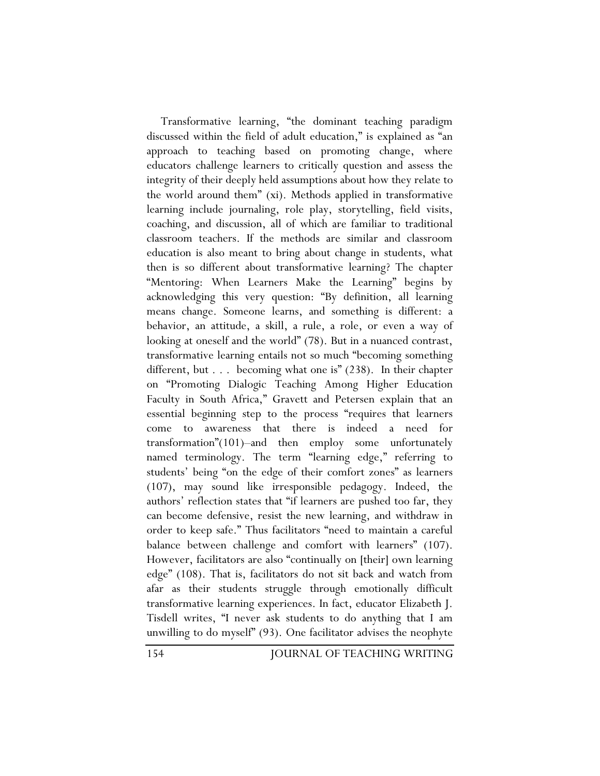Transformative learning, "the dominant teaching paradigm discussed within the field of adult education," is explained as "an approach to teaching based on promoting change, where educators challenge learners to critically question and assess the integrity of their deeply held assumptions about how they relate to the world around them" (xi). Methods applied in transformative learning include journaling, role play, storytelling, field visits, coaching, and discussion, all of which are familiar to traditional classroom teachers. If the methods are similar and classroom education is also meant to bring about change in students, what then is so different about transformative learning? The chapter "Mentoring: When Learners Make the Learning" begins by acknowledging this very question: "By definition, all learning means change. Someone learns, and something is different: a behavior, an attitude, a skill, a rule, a role, or even a way of looking at oneself and the world" (78). But in a nuanced contrast, transformative learning entails not so much "becoming something different, but . . . becoming what one is" (238). In their chapter on "Promoting Dialogic Teaching Among Higher Education Faculty in South Africa," Gravett and Petersen explain that an essential beginning step to the process "requires that learners come to awareness that there is indeed a need for transformation"(101)–and then employ some unfortunately named terminology. The term "learning edge," referring to students' being "on the edge of their comfort zones" as learners (107), may sound like irresponsible pedagogy. Indeed, the authors' reflection states that "if learners are pushed too far, they can become defensive, resist the new learning, and withdraw in order to keep safe." Thus facilitators "need to maintain a careful balance between challenge and comfort with learners" (107). However, facilitators are also "continually on [their] own learning edge" (108). That is, facilitators do not sit back and watch from afar as their students struggle through emotionally difficult transformative learning experiences. In fact, educator Elizabeth J. Tisdell writes, "I never ask students to do anything that I am unwilling to do myself" (93). One facilitator advises the neophyte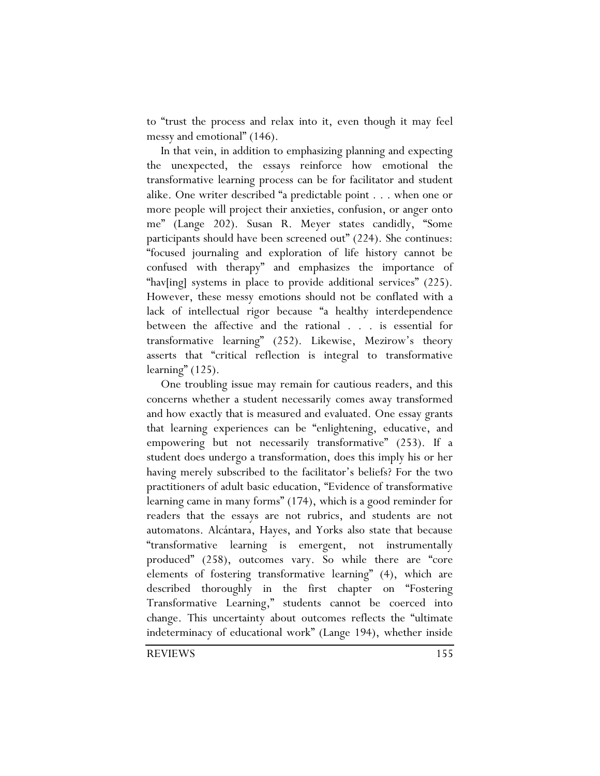to "trust the process and relax into it, even though it may feel messy and emotional" (146).

In that vein, in addition to emphasizing planning and expecting the unexpected, the essays reinforce how emotional the transformative learning process can be for facilitator and student alike. One writer described "a predictable point . . . when one or more people will project their anxieties, confusion, or anger onto me" (Lange 202). Susan R. Meyer states candidly, "Some participants should have been screened out" (224). She continues: "focused journaling and exploration of life history cannot be confused with therapy" and emphasizes the importance of "hav[ing] systems in place to provide additional services" (225). However, these messy emotions should not be conflated with a lack of intellectual rigor because "a healthy interdependence between the affective and the rational . . . is essential for transformative learning" (252). Likewise, Mezirow's theory asserts that "critical reflection is integral to transformative learning" (125).

One troubling issue may remain for cautious readers, and this concerns whether a student necessarily comes away transformed and how exactly that is measured and evaluated. One essay grants that learning experiences can be "enlightening, educative, and empowering but not necessarily transformative" (253). If a student does undergo a transformation, does this imply his or her having merely subscribed to the facilitator's beliefs? For the two practitioners of adult basic education, "Evidence of transformative learning came in many forms" (174), which is a good reminder for readers that the essays are not rubrics, and students are not automatons. Alcántara, Hayes, and Yorks also state that because "transformative learning is emergent, not instrumentally produced" (258), outcomes vary. So while there are "core elements of fostering transformative learning" (4), which are described thoroughly in the first chapter on "Fostering Transformative Learning," students cannot be coerced into change. This uncertainty about outcomes reflects the "ultimate indeterminacy of educational work" (Lange 194), whether inside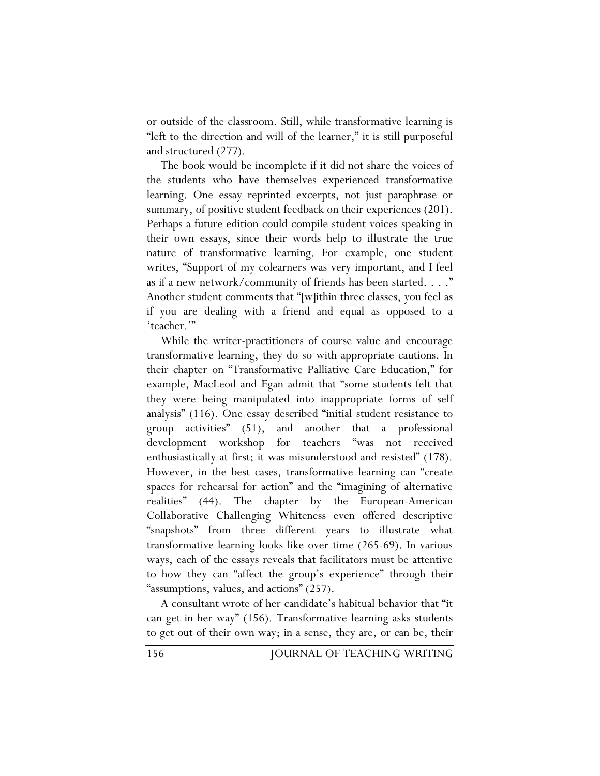or outside of the classroom. Still, while transformative learning is "left to the direction and will of the learner," it is still purposeful and structured (277).

The book would be incomplete if it did not share the voices of the students who have themselves experienced transformative learning. One essay reprinted excerpts, not just paraphrase or summary, of positive student feedback on their experiences (201). Perhaps a future edition could compile student voices speaking in their own essays, since their words help to illustrate the true nature of transformative learning. For example, one student writes, "Support of my colearners was very important, and I feel as if a new network/community of friends has been started. . . ." Another student comments that "[w]ithin three classes, you feel as if you are dealing with a friend and equal as opposed to a 'teacher.'"

While the writer-practitioners of course value and encourage transformative learning, they do so with appropriate cautions. In their chapter on "Transformative Palliative Care Education," for example, MacLeod and Egan admit that "some students felt that they were being manipulated into inappropriate forms of self analysis" (116). One essay described "initial student resistance to group activities" (51), and another that a professional development workshop for teachers "was not received enthusiastically at first; it was misunderstood and resisted" (178). However, in the best cases, transformative learning can "create spaces for rehearsal for action" and the "imagining of alternative realities" (44). The chapter by the European-American Collaborative Challenging Whiteness even offered descriptive "snapshots" from three different years to illustrate what transformative learning looks like over time (265-69). In various ways, each of the essays reveals that facilitators must be attentive to how they can "affect the group's experience" through their "assumptions, values, and actions" (257).

A consultant wrote of her candidate's habitual behavior that "it can get in her way" (156). Transformative learning asks students to get out of their own way; in a sense, they are, or can be, their